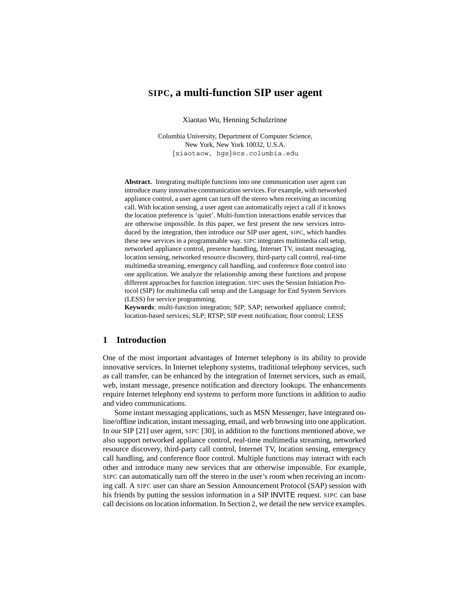# **SIPC, a multi-function SIP user agent**

Xiaotao Wu, Henning Schulzrinne

Columbia University, Department of Computer Science, New York, New York 10032, U.S.A. *{*xiaotaow, hgs*}*@cs.columbia.edu

**Abstract.** Integrating multiple functions into one communication user agent can introduce many innovative communication services. For example, with networked appliance control, a user agent can turn off the stereo when receiving an incoming call. With location sensing, a user agent can automatically reject a call if it knows the location preference is 'quiet'. Multi-function interactions enable services that are otherwise impossible. In this paper, we first present the new services introduced by the integration, then introduce our SIP user agent, SIPC, which handles these new services in a programmable way. SIPC integrates multimedia call setup, networked appliance control, presence handling, Internet TV, instant messaging, location sensing, networked resource discovery, third-party call control, real-time multimedia streaming, emergency call handling, and conference floor control into one application. We analyze the relationship among these functions and propose different approaches for function integration. SIPC uses the Session Initiation Protocol (SIP) for multimedia call setup and the Language for End System Services (LESS) for service programming.

**Keywords**: multi-function integration; SIP; SAP; networked appliance control; location-based services; SLP; RTSP; SIP event notification; floor control; LESS

# **1 Introduction**

One of the most important advantages of Internet telephony is its ability to provide innovative services. In Internet telephony systems, traditional telephony services, such as call transfer, can be enhanced by the integration of Internet services, such as email, web, instant message, presence notification and directory lookups. The enhancements require Internet telephony end systems to perform more functions in addition to audio and video communications.

Some instant messaging applications, such as MSN Messenger, have integrated online/offline indication, instant messaging, email, and web browsing into one application. In our SIP [21] user agent, SIPC [30], in addition to the functions mentioned above, we also support networked appliance control, real-time multimedia streaming, networked resource discovery, third-party call control, Internet TV, location sensing, emergency call handling, and conference floor control. Multiple functions may interact with each other and introduce many new services that are otherwise impossible. For example, SIPC can automatically turn off the stereo in the user's room when receiving an incoming call. A SIPC user can share an Session Announcement Protocol (SAP) session with his friends by putting the session information in a SIP INVITE request. SIPC can base call decisions on location information. In Section 2, we detail the new service examples.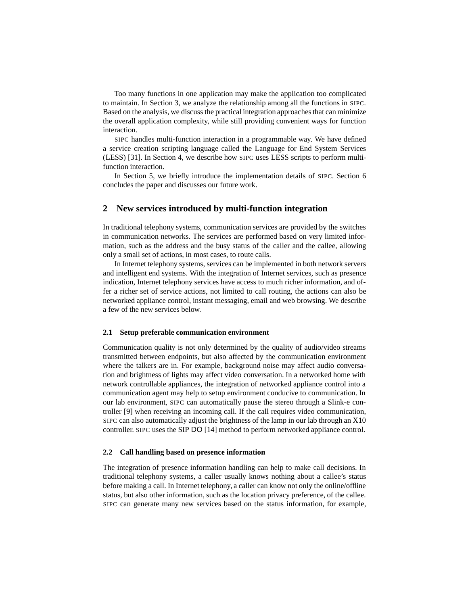Too many functions in one application may make the application too complicated to maintain. In Section 3, we analyze the relationship among all the functions in SIPC. Based on the analysis, we discuss the practical integration approaches that can minimize the overall application complexity, while still providing convenient ways for function interaction.

SIPC handles multi-function interaction in a programmable way. We have defined a service creation scripting language called the Language for End System Services (LESS) [31]. In Section 4, we describe how SIPC uses LESS scripts to perform multifunction interaction.

In Section 5, we briefly introduce the implementation details of SIPC. Section 6 concludes the paper and discusses our future work.

# **2 New services introduced by multi-function integration**

In traditional telephony systems, communication services are provided by the switches in communication networks. The services are performed based on very limited information, such as the address and the busy status of the caller and the callee, allowing only a small set of actions, in most cases, to route calls.

In Internet telephony systems, services can be implemented in both network servers and intelligent end systems. With the integration of Internet services, such as presence indication, Internet telephony services have access to much richer information, and offer a richer set of service actions, not limited to call routing, the actions can also be networked appliance control, instant messaging, email and web browsing. We describe a few of the new services below.

#### **2.1 Setup preferable communication environment**

Communication quality is not only determined by the quality of audio/video streams transmitted between endpoints, but also affected by the communication environment where the talkers are in. For example, background noise may affect audio conversation and brightness of lights may affect video conversation. In a networked home with network controllable appliances, the integration of networked appliance control into a communication agent may help to setup environment conducive to communication. In our lab environment, SIPC can automatically pause the stereo through a Slink-e controller [9] when receiving an incoming call. If the call requires video communication, SIPC can also automatically adjust the brightness of the lamp in our lab through an X10 controller. SIPC uses the SIP DO [14] method to perform networked appliance control.

## **2.2 Call handling based on presence information**

The integration of presence information handling can help to make call decisions. In traditional telephony systems, a caller usually knows nothing about a callee's status before making a call. In Internet telephony, a caller can know not only the online/offline status, but also other information, such as the location privacy preference, of the callee. SIPC can generate many new services based on the status information, for example,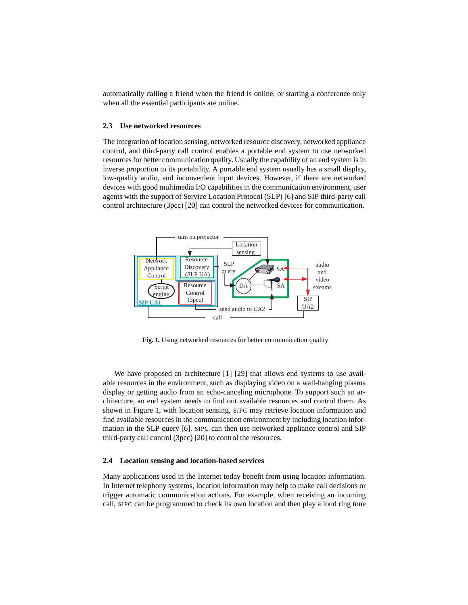automatically calling a friend when the friend is online, or starting a conference only when all the essential participants are online.

## **2.3 Use networked resources**

The integration of location sensing, networked resource discovery, networked appliance control, and third-party call control enables a portable end system to use networked resources for better communication quality. Usually the capability of an end system is in inverse proportion to its portability. A portable end system usually has a small display, low-quality audio, and inconvenient input devices. However, if there are networked devices with good multimedia I/O capabilities in the communication environment, user agents with the support of Service Location Protocol (SLP) [6] and SIP third-party call control architecture (3pcc) [20] can control the networked devices for communication.



**Fig. 1.** Using networked resources for better communication quality

We have proposed an architecture [1] [29] that allows end systems to use available resources in the environment, such as displaying video on a wall-hanging plasma display or getting audio from an echo-canceling microphone. To support such an architecture, an end system needs to find out available resources and control them. As shown in Figure 1, with location sensing, SIPC may retrieve location information and find available resources in the communication environment by including location information in the SLP query [6]. SIPC can then use networked appliance control and SIP third-party call control (3pcc) [20] to control the resources.

## **2.4 Location sensing and location-based services**

Many applications used in the Internet today benefit from using location information. In Internet telephony systems, location information may help to make call decisions or trigger automatic communication actions. For example, when receiving an incoming call, SIPC can be programmed to check its own location and then play a loud ring tone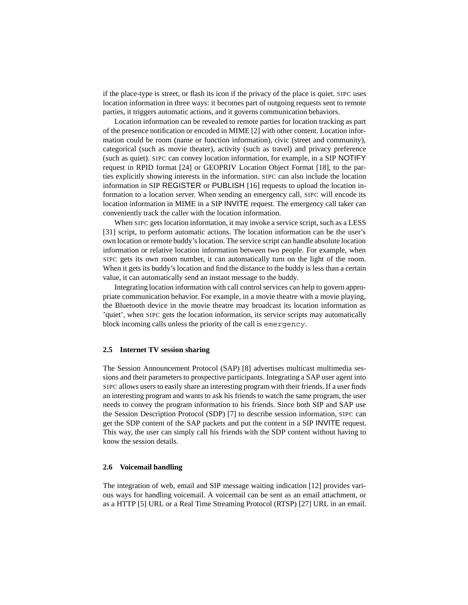if the place-type is street, or flash its icon if the privacy of the place is quiet. SIPC uses location information in three ways: it becomes part of outgoing requests sent to remote parties, it triggers automatic actions, and it governs communication behaviors.

Location information can be revealed to remote parties for location tracking as part of the presence notification or encoded in MIME [2] with other content. Location information could be room (name or function information), civic (street and community), categorical (such as movie theater), activity (such as travel) and privacy preference (such as quiet). SIPC can convey location information, for example, in a SIP NOTIFY request in RPID format [24] or GEOPRIV Location Object Format [18], to the parties explicitly showing interests in the information. SIPC can also include the location information in SIP REGISTER or PUBLISH [16] requests to upload the location information to a location server. When sending an emergency call, SIPC will encode its location information in MIME in a SIP INVITE request. The emergency call taker can conveniently track the caller with the location information.

When SIPC gets location information, it may invoke a service script, such as a LESS [31] script, to perform automatic actions. The location information can be the user's own location or remote buddy's location. The service script can handle absolute location information or relative location information between two people. For example, when SIPC gets its own room number, it can automatically turn on the light of the room. When it gets its buddy's location and find the distance to the buddy is less than a certain value, it can automatically send an instant message to the buddy.

Integrating location information with call control services can help to govern appropriate communication behavior. For example, in a movie theatre with a movie playing, the Bluetooth device in the movie theatre may broadcast its location information as 'quiet', when SIPC gets the location information, its service scripts may automatically block incoming calls unless the priority of the call is emergency.

## **2.5 Internet TV session sharing**

The Session Announcement Protocol (SAP) [8] advertises multicast multimedia sessions and their parameters to prospective participants. Integrating a SAP user agent into SIPC allows users to easily share an interesting program with their friends. If a user finds an interesting program and wants to ask his friends to watch the same program, the user needs to convey the program information to his friends. Since both SIP and SAP use the Session Description Protocol (SDP) [7] to describe session information, SIPC can get the SDP content of the SAP packets and put the content in a SIP INVITE request. This way, the user can simply call his friends with the SDP content without having to know the session details.

### **2.6 Voicemail handling**

The integration of web, email and SIP message waiting indication [12] provides various ways for handling voicemail. A voicemail can be sent as an email attachment, or as a HTTP [5] URL or a Real Time Streaming Protocol (RTSP) [27] URL in an email.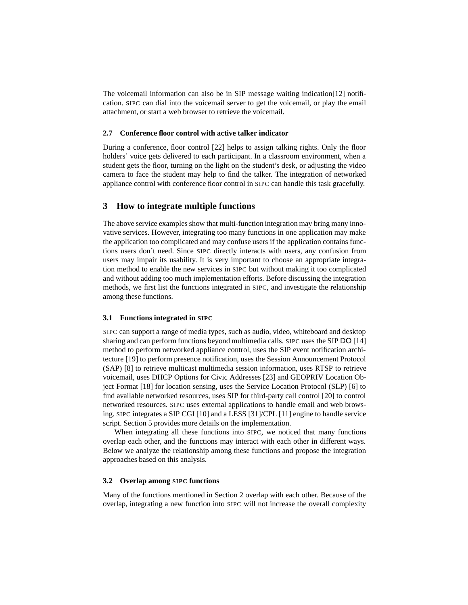The voicemail information can also be in SIP message waiting indication[12] notification. SIPC can dial into the voicemail server to get the voicemail, or play the email attachment, or start a web browser to retrieve the voicemail.

#### **2.7 Conference floor control with active talker indicator**

During a conference, floor control [22] helps to assign talking rights. Only the floor holders' voice gets delivered to each participant. In a classroom environment, when a student gets the floor, turning on the light on the student's desk, or adjusting the video camera to face the student may help to find the talker. The integration of networked appliance control with conference floor control in SIPC can handle this task gracefully.

# **3 How to integrate multiple functions**

The above service examples show that multi-function integration may bring many innovative services. However, integrating too many functions in one application may make the application too complicated and may confuse users if the application contains functions users don't need. Since SIPC directly interacts with users, any confusion from users may impair its usability. It is very important to choose an appropriate integration method to enable the new services in SIPC but without making it too complicated and without adding too much implementation efforts. Before discussing the integration methods, we first list the functions integrated in SIPC, and investigate the relationship among these functions.

#### **3.1 Functions integrated in SIPC**

SIPC can support a range of media types, such as audio, video, whiteboard and desktop sharing and can perform functions beyond multimedia calls. SIPC uses the SIP DO [14] method to perform networked appliance control, uses the SIP event notification architecture [19] to perform presence notification, uses the Session Announcement Protocol (SAP) [8] to retrieve multicast multimedia session information, uses RTSP to retrieve voicemail, uses DHCP Options for Civic Addresses [23] and GEOPRIV Location Object Format [18] for location sensing, uses the Service Location Protocol (SLP) [6] to find available networked resources, uses SIP for third-party call control [20] to control networked resources. SIPC uses external applications to handle email and web browsing. SIPC integrates a SIP CGI [10] and a LESS [31]/CPL [11] engine to handle service script. Section 5 provides more details on the implementation.

When integrating all these functions into SIPC, we noticed that many functions overlap each other, and the functions may interact with each other in different ways. Below we analyze the relationship among these functions and propose the integration approaches based on this analysis.

#### **3.2 Overlap among SIPC functions**

Many of the functions mentioned in Section 2 overlap with each other. Because of the overlap, integrating a new function into SIPC will not increase the overall complexity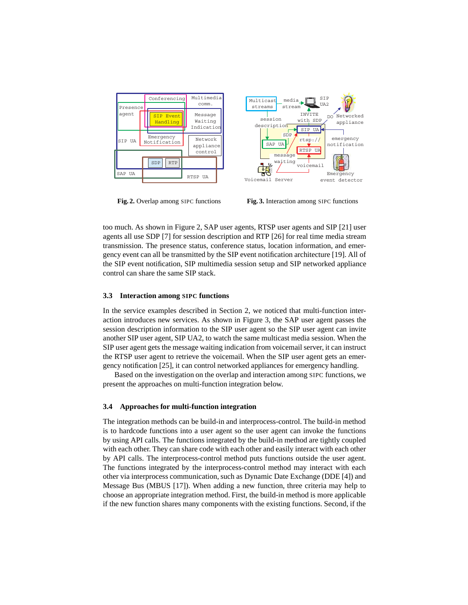

**Fig. 2.** Overlap among SIPC functions

**Fig. 3.** Interaction among SIPC functions

too much. As shown in Figure 2, SAP user agents, RTSP user agents and SIP [21] user agents all use SDP [7] for session description and RTP [26] for real time media stream transmission. The presence status, conference status, location information, and emergency event can all be transmitted by the SIP event notification architecture [19]. All of the SIP event notification, SIP multimedia session setup and SIP networked appliance control can share the same SIP stack.

#### **3.3 Interaction among SIPC functions**

In the service examples described in Section 2, we noticed that multi-function interaction introduces new services. As shown in Figure 3, the SAP user agent passes the session description information to the SIP user agent so the SIP user agent can invite another SIP user agent, SIP UA2, to watch the same multicast media session. When the SIP user agent gets the message waiting indication from voicemail server, it can instruct the RTSP user agent to retrieve the voicemail. When the SIP user agent gets an emergency notification [25], it can control networked appliances for emergency handling.

Based on the investigation on the overlap and interaction among SIPC functions, we present the approaches on multi-function integration below.

## **3.4 Approaches for multi-function integration**

The integration methods can be build-in and interprocess-control. The build-in method is to hardcode functions into a user agent so the user agent can invoke the functions by using API calls. The functions integrated by the build-in method are tightly coupled with each other. They can share code with each other and easily interact with each other by API calls. The interprocess-control method puts functions outside the user agent. The functions integrated by the interprocess-control method may interact with each other via interprocess communication, such as Dynamic Date Exchange (DDE [4]) and Message Bus (MBUS [17]). When adding a new function, three criteria may help to choose an appropriate integration method. First, the build-in method is more applicable if the new function shares many components with the existing functions. Second, if the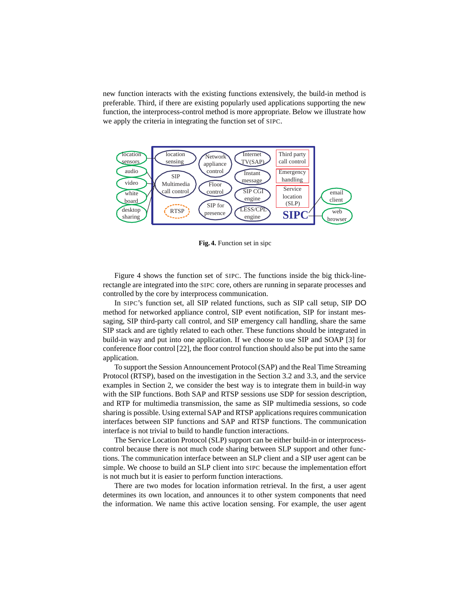new function interacts with the existing functions extensively, the build-in method is preferable. Third, if there are existing popularly used applications supporting the new function, the interprocess-control method is more appropriate. Below we illustrate how we apply the criteria in integrating the function set of SIPC.



**Fig. 4.** Function set in sipc

Figure 4 shows the function set of SIPC. The functions inside the big thick-linerectangle are integrated into the SIPC core, others are running in separate processes and controlled by the core by interprocess communication.

In SIPC's function set, all SIP related functions, such as SIP call setup, SIP DO method for networked appliance control, SIP event notification, SIP for instant messaging, SIP third-party call control, and SIP emergency call handling, share the same SIP stack and are tightly related to each other. These functions should be integrated in build-in way and put into one application. If we choose to use SIP and SOAP [3] for conference floor control [22], the floor control function should also be put into the same application.

To support the Session Announcement Protocol (SAP) and the Real Time Streaming Protocol (RTSP), based on the investigation in the Section 3.2 and 3.3, and the service examples in Section 2, we consider the best way is to integrate them in build-in way with the SIP functions. Both SAP and RTSP sessions use SDP for session description, and RTP for multimedia transmission, the same as SIP multimedia sessions, so code sharing is possible. Using external SAP and RTSP applications requires communication interfaces between SIP functions and SAP and RTSP functions. The communication interface is not trivial to build to handle function interactions.

The Service Location Protocol (SLP) support can be either build-in or interprocesscontrol because there is not much code sharing between SLP support and other functions. The communication interface between an SLP client and a SIP user agent can be simple. We choose to build an SLP client into SIPC because the implementation effort is not much but it is easier to perform function interactions.

There are two modes for location information retrieval. In the first, a user agent determines its own location, and announces it to other system components that need the information. We name this active location sensing. For example, the user agent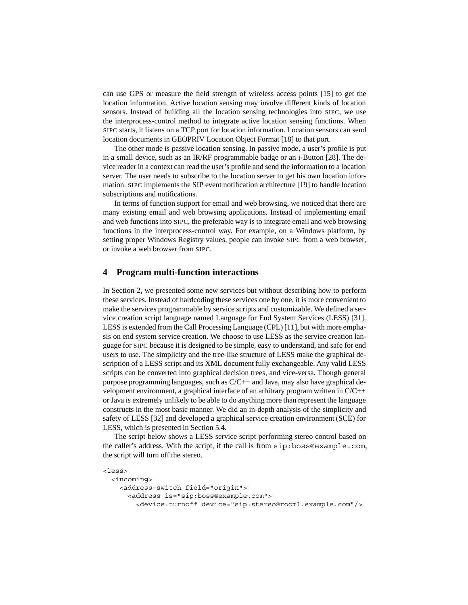can use GPS or measure the field strength of wireless access points [15] to get the location information. Active location sensing may involve different kinds of location sensors. Instead of building all the location sensing technologies into SIPC, we use the interprocess-control method to integrate active location sensing functions. When SIPC starts, it listens on a TCP port for location information. Location sensors can send location documents in GEOPRIV Location Object Format [18] to that port.

The other mode is passive location sensing. In passive mode, a user's profile is put in a small device, such as an IR/RF programmable badge or an i-Button [28]. The device reader in a context can read the user's profile and send the information to a location server. The user needs to subscribe to the location server to get his own location information. SIPC implements the SIP event notification architecture [19] to handle location subscriptions and notifications.

In terms of function support for email and web browsing, we noticed that there are many existing email and web browsing applications. Instead of implementing email and web functions into SIPC, the preferable way is to integrate email and web browsing functions in the interprocess-control way. For example, on a Windows platform, by setting proper Windows Registry values, people can invoke SIPC from a web browser, or invoke a web browser from SIPC.

# **4 Program multi-function interactions**

In Section 2, we presented some new services but without describing how to perform these services. Instead of hardcoding these services one by one, it is more convenient to make the services programmable by service scripts and customizable. We defined a service creation script language named Language for End System Services (LESS) [31]. LESS is extended from the Call Processing Language (CPL) [11], but with more emphasis on end system service creation. We choose to use LESS as the service creation language for SIPC because it is designed to be simple, easy to understand, and safe for end users to use. The simplicity and the tree-like structure of LESS make the graphical description of a LESS script and its XML document fully exchangeable. Any valid LESS scripts can be converted into graphical decision trees, and vice-versa. Though general purpose programming languages, such as C/C++ and Java, may also have graphical development environment, a graphical interface of an arbitrary program written in C/C++ or Java is extremely unlikely to be able to do anything more than represent the language constructs in the most basic manner. We did an in-depth analysis of the simplicity and safety of LESS [32] and developed a graphical service creation environment (SCE) for LESS, which is presented in Section 5.4.

The script below shows a LESS service script performing stereo control based on the caller's address. With the script, if the call is from sip:boss@example.com, the script will turn off the stereo.

```
<less>
  <incoming>
    <address-switch field="origin">
      <address is="sip:boss@example.com">
        <device:turnoff device="sip:stereo@room1.example.com"/>
```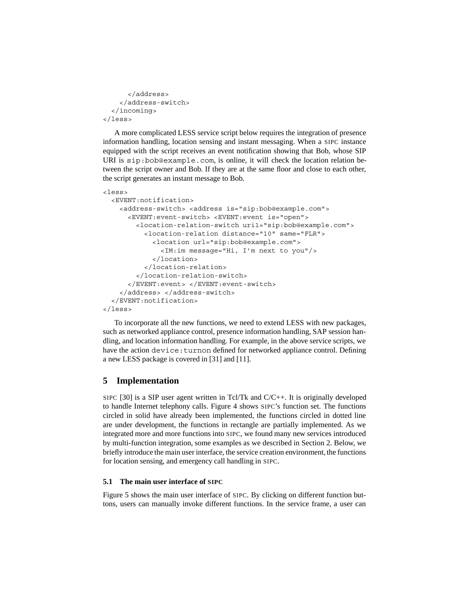```
</address>
    </address-switch>
  </incoming>
</less>
```
A more complicated LESS service script below requires the integration of presence information handling, location sensing and instant messaging. When a SIPC instance equipped with the script receives an event notification showing that Bob, whose SIP URI is sip:bob@example.com, is online, it will check the location relation between the script owner and Bob. If they are at the same floor and close to each other, the script generates an instant message to Bob.

```
<less>
 <EVENT:notification>
   <address-switch> <address is="sip:bob@example.com">
      <EVENT:event-switch> <EVENT:event is="open">
        <location-relation-switch uri1="sip:bob@example.com">
          <location-relation distance="10" same="FLR">
            <location url="sip:bob@example.com">
              <IM:im message="Hi, I'm next to you"/>
            </location>
          </location-relation>
        </location-relation-switch>
      </EVENT:event> </EVENT:event-switch>
    </address> </address-switch>
  </EVENT:notification>
</less>
```
To incorporate all the new functions, we need to extend LESS with new packages, such as networked appliance control, presence information handling, SAP session handling, and location information handling. For example, in the above service scripts, we have the action device: turnon defined for networked appliance control. Defining a new LESS package is covered in [31] and [11].

# **5 Implementation**

SIPC  $[30]$  is a SIP user agent written in Tcl/Tk and  $C/C++$ . It is originally developed to handle Internet telephony calls. Figure 4 shows SIPC's function set. The functions circled in solid have already been implemented, the functions circled in dotted line are under development, the functions in rectangle are partially implemented. As we integrated more and more functions into SIPC, we found many new services introduced by multi-function integration, some examples as we described in Section 2. Below, we briefly introduce the main user interface, the service creation environment, the functions for location sensing, and emergency call handling in SIPC.

#### **5.1 The main user interface of SIPC**

Figure 5 shows the main user interface of SIPC. By clicking on different function buttons, users can manually invoke different functions. In the service frame, a user can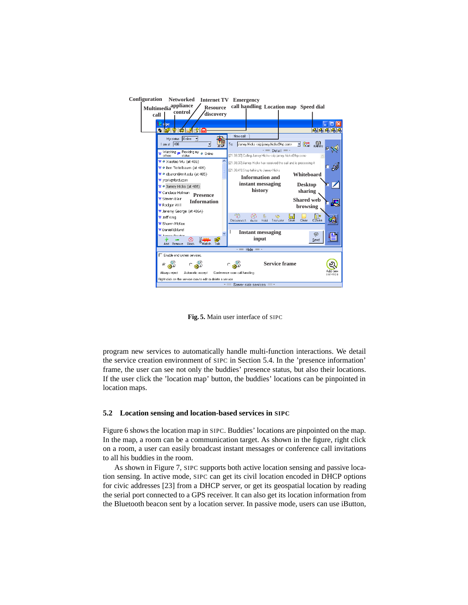

**Fig. 5.** Main user interface of SIPC

program new services to automatically handle multi-function interactions. We detail the service creation environment of SIPC in Section 5.4. In the 'presence information' frame, the user can see not only the buddies' presence status, but also their locations. If the user click the 'location map' button, the buddies' locations can be pinpointed in location maps.

### **5.2 Location sensing and location-based services in SIPC**

Figure 6 shows the location map in SIPC. Buddies' locations are pinpointed on the map. In the map, a room can be a communication target. As shown in the figure, right click on a room, a user can easily broadcast instant messages or conference call invitations to all his buddies in the room.

As shown in Figure 7, SIPC supports both active location sensing and passive location sensing. In active mode, SIPC can get its civil location encoded in DHCP options for civic addresses [23] from a DHCP server, or get its geospatial location by reading the serial port connected to a GPS receiver. It can also get its location information from the Bluetooth beacon sent by a location server. In passive mode, users can use iButton,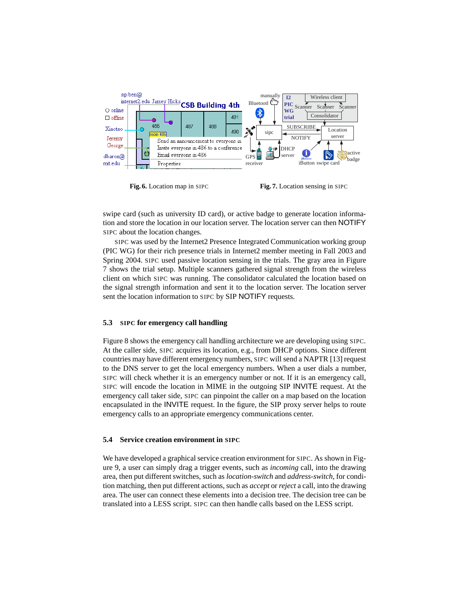

**Fig. 6.** Location map in SIPC **Fig. 7.** Location sensing in SIPC

swipe card (such as university ID card), or active badge to generate location information and store the location in our location server. The location server can then NOTIFY SIPC about the location changes.

SIPC was used by the Internet2 Presence Integrated Communication working group (PIC WG) for their rich presence trials in Internet2 member meeting in Fall 2003 and Spring 2004. SIPC used passive location sensing in the trials. The gray area in Figure 7 shows the trial setup. Multiple scanners gathered signal strength from the wireless client on which SIPC was running. The consolidator calculated the location based on the signal strength information and sent it to the location server. The location server sent the location information to SIPC by SIP NOTIFY requests.

## **5.3 SIPC for emergency call handling**

Figure 8 shows the emergency call handling architecture we are developing using SIPC. At the caller side, SIPC acquires its location, e.g., from DHCP options. Since different countries may have different emergency numbers, SIPC will send a NAPTR [13] request to the DNS server to get the local emergency numbers. When a user dials a number, SIPC will check whether it is an emergency number or not. If it is an emergency call, SIPC will encode the location in MIME in the outgoing SIP INVITE request. At the emergency call taker side, SIPC can pinpoint the caller on a map based on the location encapsulated in the INVITE request. In the figure, the SIP proxy server helps to route emergency calls to an appropriate emergency communications center.

## **5.4 Service creation environment in SIPC**

We have developed a graphical service creation environment for SIPC. As shown in Figure 9, a user can simply drag a trigger events, such as *incoming* call, into the drawing area, then put different switches, such as *location-switch* and *address-switch*, for condition matching, then put different actions, such as *accept* or *reject* a call, into the drawing area. The user can connect these elements into a decision tree. The decision tree can be translated into a LESS script. SIPC can then handle calls based on the LESS script.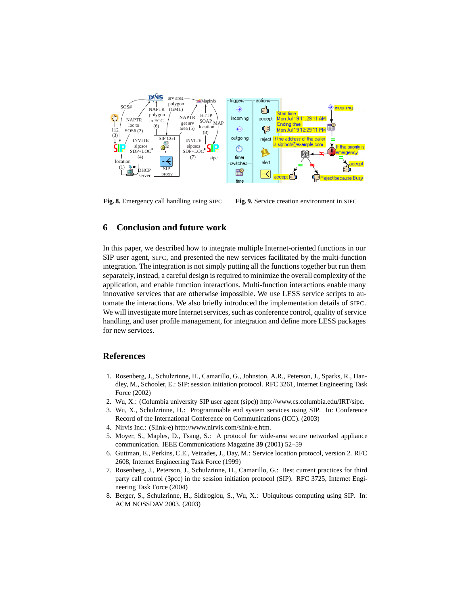

**Fig. 8.** Emergency call handling using SIPC **Fig. 9.** Service creation environment in SIPC

## **6 Conclusion and future work**

In this paper, we described how to integrate multiple Internet-oriented functions in our SIP user agent, SIPC, and presented the new services facilitated by the multi-function integration. The integration is not simply putting all the functions together but run them separately, instead, a careful design is required to minimize the overall complexity of the application, and enable function interactions. Multi-function interactions enable many innovative services that are otherwise impossible. We use LESS service scripts to automate the interactions. We also briefly introduced the implementation details of SIPC. We will investigate more Internet services, such as conference control, quality of service handling, and user profile management, for integration and define more LESS packages for new services.

## **References**

- 1. Rosenberg, J., Schulzrinne, H., Camarillo, G., Johnston, A.R., Peterson, J., Sparks, R., Handley, M., Schooler, E.: SIP: session initiation protocol. RFC 3261, Internet Engineering Task Force (2002)
- 2. Wu, X.: (Columbia university SIP user agent (sipc)) http://www.cs.columbia.edu/IRT/sipc.
- 3. Wu, X., Schulzrinne, H.: Programmable end system services using SIP. In: Conference Record of the International Conference on Communications (ICC). (2003)
- 4. Nirvis Inc.: (Slink-e) http://www.nirvis.com/slink-e.htm.
- 5. Moyer, S., Maples, D., Tsang, S.: A protocol for wide-area secure networked appliance communication. IEEE Communications Magazine **39** (2001) 52–59
- 6. Guttman, E., Perkins, C.E., Veizades, J., Day, M.: Service location protocol, version 2. RFC 2608, Internet Engineering Task Force (1999)
- 7. Rosenberg, J., Peterson, J., Schulzrinne, H., Camarillo, G.: Best current practices for third party call control (3pcc) in the session initiation protocol (SIP). RFC 3725, Internet Engineering Task Force (2004)
- 8. Berger, S., Schulzrinne, H., Sidiroglou, S., Wu, X.: Ubiquitous computing using SIP. In: ACM NOSSDAV 2003. (2003)